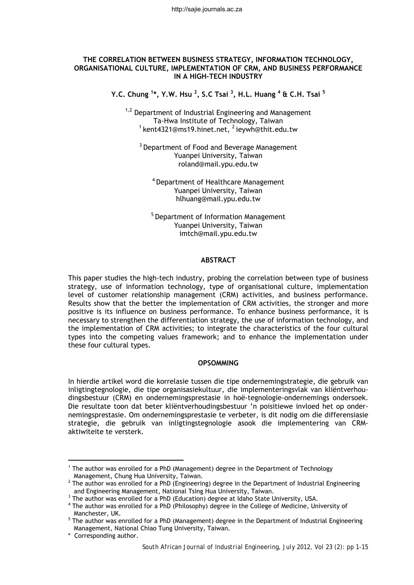#### **THE CORRELATION BETWEEN BUSINESS STRATEGY, INFORMATION TECHNOLOGY, ORGANISATIONAL CULTURE, IMPLEMENTATION OF CRM, AND BUSINESS PERFORMANCE IN A HIGH-TECH INDUSTRY**

**Y.C. Chung <sup>1</sup> \*, Y.W. Hsu <sup>2</sup> , S.C Tsai 3 , H.L. Huang 4 & C.H. Tsai <sup>5</sup>**

 $1,2$  Department of Industrial Engineering and Management Ta-Hwa Institute of Technology, Taiwan  $1$  kent4321@ms19.hinet.net,  $2$  ieywh@thit.edu.tw

<sup>3</sup> Department of Food and Beverage Management Yuanpei University, Taiwan roland@mail.ypu.edu.tw

<sup>4</sup> Department of Healthcare Management Yuanpei University, Taiwan hlhuang@mail.ypu.edu.tw

5 Department of Information Management Yuanpei University, Taiwan imtch@mail.ypu.edu.tw

### **ABSTRACT**

This paper studies the high-tech industry, probing the correlation between type of business strategy, use of information technology, type of organisational culture, implementation level of customer relationship management (CRM) activities, and business performance. Results show that the better the implementation of CRM activities, the stronger and more positive is its influence on business performance. To enhance business performance, it is necessary to strengthen the differentiation strategy, the use of information technology, and the implementation of CRM activities; to integrate the characteristics of the four cultural types into the competing values framework; and to enhance the implementation under these four cultural types.

## **OPSOMMING**

In hierdie artikel word die korrelasie tussen die tipe ondernemingstrategie, die gebruik van inligtingtegnologie, die tipe organisasiekultuur, die implementeringsvlak van kliëntverhoudingsbestuur (CRM) en ondernemingsprestasie in hoë-tegnologie-ondernemings ondersoek. Die resultate toon dat beter kliëntverhoudingsbestuur 'n poisitiewe invloed het op ondernemingsprestasie. Om ondernemingsprestasie te verbeter, is dit nodig om die differensiasie strategie, die gebruik van inligtingstegnologie asook die implementering van CRMaktiwiteite te versterk.

<sup>1</sup> The author was enrolled for a PhD (Management) degree in the Department of Technology Management, Chung Hua University, Taiwan. 2

<sup>&</sup>lt;sup>2</sup> The author was enrolled for a PhD (Engineering) degree in the Department of Industrial Engineering and Engineering Management, National Tsing Hua University, Taiwan. and Engineering Management, National Tsing Hua University, Taiwan.<br>3 The author was enrolled for a RbD (Education) dogree at Idaho State U

 $^3$  The author was enrolled for a PhD (Education) degree at Idaho State University, USA.<br>4 The author was enrolled for a PhD (Philosophy) degree in the Colloge of Modicine. Uni

The author was enrolled for a PhD (Philosophy) degree in the College of Medicine, University of

Manchester, UK.<br><sup>5</sup> The author was enrolled for a PhD (Management) degree in the Department of Industrial Engineering Management, National Chiao Tung University, Taiwan.

<sup>\*</sup> Corresponding author.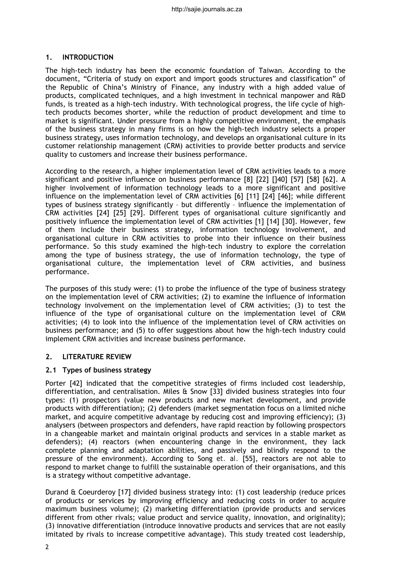## **1. INTRODUCTION**

The high-tech industry has been the economic foundation of Taiwan. According to the document, "Criteria of study on export and import goods structures and classification" of the Republic of China's Ministry of Finance, any industry with a high added value of products, complicated techniques, and a high investment in technical manpower and R&D funds, is treated as a high-tech industry. With technological progress, the life cycle of hightech products becomes shorter, while the reduction of product development and time to market is significant. Under pressure from a highly competitive environment, the emphasis of the business strategy in many firms is on how the high-tech industry selects a proper business strategy, uses information technology, and develops an organisational culture in its customer relationship management (CRM) activities to provide better products and service quality to customers and increase their business performance.

According to the research, a higher implementation level of CRM activities leads to a more significant and positive influence on business performance [8] [22] []40] [57] [58] [62]. A higher involvement of information technology leads to a more significant and positive influence on the implementation level of CRM activities [6] [11] [24] [46]; while different types of business strategy significantly – but differently – influence the implementation of CRM activities [24] [25] [29]. Different types of organisational culture significantly and positively influence the implementation level of CRM activities [1] [14] [30]. However, few of them include their business strategy, information technology involvement, and organisational culture in CRM activities to probe into their influence on their business performance. So this study examined the high-tech industry to explore the correlation among the type of business strategy, the use of information technology, the type of organisational culture, the implementation level of CRM activities, and business performance.

The purposes of this study were: (1) to probe the influence of the type of business strategy on the implementation level of CRM activities; (2) to examine the influence of information technology involvement on the implementation level of CRM activities; (3) to test the influence of the type of organisational culture on the implementation level of CRM activities; (4) to look into the influence of the implementation level of CRM activities on business performance; and (5) to offer suggestions about how the high-tech industry could implement CRM activities and increase business performance.

# **2. LITERATURE REVIEW**

# **2.1 Types of business strategy**

Porter [42] indicated that the competitive strategies of firms included cost leadership, differentiation, and centralisation. Miles & Snow [33] divided business strategies into four types: (1) prospectors (value new products and new market development, and provide products with differentiation); (2) defenders (market segmentation focus on a limited niche market, and acquire competitive advantage by reducing cost and improving efficiency); (3) analysers (between prospectors and defenders, have rapid reaction by following prospectors in a changeable market and maintain original products and services in a stable market as defenders); (4) reactors (when encountering change in the environment, they lack complete planning and adaptation abilities, and passively and blindly respond to the pressure of the environment). According to Song *et. al.* [55], reactors are not able to respond to market change to fulfill the sustainable operation of their organisations, and this is a strategy without competitive advantage.

Durand & Coeurderoy [17] divided business strategy into: (1) cost leadership (reduce prices of products or services by improving efficiency and reducing costs in order to acquire maximum business volume); (2) marketing differentiation (provide products and services different from other rivals; value product and service quality, innovation, and originality); (3) innovative differentiation (introduce innovative products and services that are not easily imitated by rivals to increase competitive advantage). This study treated cost leadership,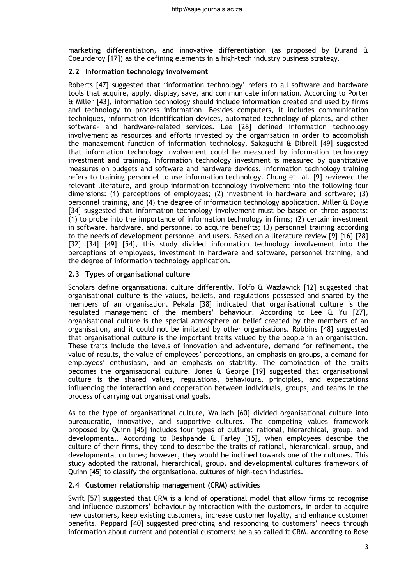marketing differentiation, and innovative differentiation (as proposed by Durand & Coeurderoy [17]) as the defining elements in a high-tech industry business strategy.

## **2.2 Information technology involvement**

Roberts [47] suggested that 'information technology' refers to all software and hardware tools that acquire, apply, display, save, and communicate information. According to Porter & Miller [43], information technology should include information created and used by firms and technology to process information. Besides computers, it includes communication techniques, information identification devices, automated technology of plants, and other software- and hardware-related services. Lee [28] defined information technology involvement as resources and efforts invested by the organisation in order to accomplish the management function of information technology. Sakaguchi & Dibrell [49] suggested that information technology involvement could be measured by information technology investment and training. Information technology investment is measured by quantitative measures on budgets and software and hardware devices. Information technology training refers to training personnel to use information technology. Chung *et. al.* [9] reviewed the relevant literature, and group information technology involvement into the following four dimensions: (1) perceptions of employees; (2) investment in hardware and software; (3) personnel training, and (4) the degree of information technology application. Miller & Doyle [34] suggested that information technology involvement must be based on three aspects: (1) to probe into the importance of information technology in firms; (2) certain investment in software, hardware, and personnel to acquire benefits; (3) personnel training according to the needs of development personnel and users. Based on a literature review [9] [16] [28] [32] [34] [49] [54], this study divided information technology involvement into the perceptions of employees, investment in hardware and software, personnel training, and the degree of information technology application.

## **2.3 Types of organisational culture**

Scholars define organisational culture differently. Tolfo & Wazlawick [12] suggested that organisational culture is the values, beliefs, and regulations possessed and shared by the members of an organisation. Pekala [38] indicated that organisational culture is the regulated management of the members' behaviour. According to Lee & Yu [27], organisational culture is the special atmosphere or belief created by the members of an organisation, and it could not be imitated by other organisations. Robbins [48] suggested that organisational culture is the important traits valued by the people in an organisation. These traits include the levels of innovation and adventure, demand for refinement, the value of results, the value of employees' perceptions, an emphasis on groups, a demand for employees' enthusiasm, and an emphasis on stability. The combination of the traits becomes the organisational culture. Jones & George [19] suggested that organisational culture is the shared values, regulations, behavioural principles, and expectations influencing the interaction and cooperation between individuals, groups, and teams in the process of carrying out organisational goals.

As to the *type* of organisational culture, Wallach [60] divided organisational culture into bureaucratic, innovative, and supportive cultures. The competing values framework proposed by Quinn [45] includes four types of culture: rational, hierarchical, group, and developmental. According to Deshpande & Farley [15], when employees describe the culture of their firms, they tend to describe the traits of rational, hierarchical, group, and developmental cultures; however, they would be inclined towards one of the cultures. This study adopted the rational, hierarchical, group, and developmental cultures framework of Quinn [45] to classify the organisational cultures of high-tech industries.

# **2.4 Customer relationship management (CRM) activities**

Swift [57] suggested that CRM is a kind of operational model that allow firms to recognise and influence customers' behaviour by interaction with the customers, in order to acquire new customers, keep existing customers, increase customer loyalty, and enhance customer benefits. Peppard [40] suggested predicting and responding to customers' needs through information about current and potential customers; he also called it CRM. According to Bose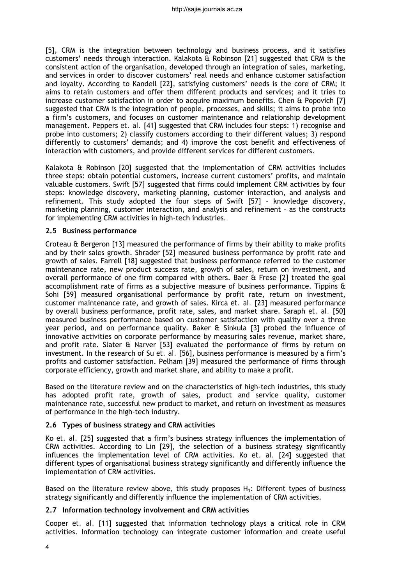[5], CRM is the integration between technology and business process, and it satisfies customers' needs through interaction. Kalakota & Robinson [21] suggested that CRM is the consistent action of the organisation, developed through an integration of sales, marketing, and services in order to discover customers' real needs and enhance customer satisfaction and loyalty. According to Kandell [22], satisfying customers' needs is the core of CRM; it aims to retain customers and offer them different products and services; and it tries to increase customer satisfaction in order to acquire maximum benefits. Chen & Popovich [7] suggested that CRM is the integration of people, processes, and skills; it aims to probe into a firm's customers, and focuses on customer maintenance and relationship development management. Peppers *et. al.* [41] suggested that CRM includes four steps: 1) recognise and probe into customers; 2) classify customers according to their different values; 3) respond differently to customers' demands; and 4) improve the cost benefit and effectiveness of interaction with customers, and provide different services for different customers.

Kalakota & Robinson [20] suggested that the implementation of CRM activities includes three steps: obtain potential customers, increase current customers' profits, and maintain valuable customers. Swift [57] suggested that firms could implement CRM activities by four steps: knowledge discovery, marketing planning, customer interaction, and analysis and refinement. This study adopted the four steps of Swift [57] – knowledge discovery, marketing planning, customer interaction, and analysis and refinement – as the constructs for implementing CRM activities in high-tech industries.

### **2.5 Business performance**

Croteau & Bergeron [13] measured the performance of firms by their ability to make profits and by their sales growth. Shrader [52] measured business performance by profit rate and growth of sales. Farrell [18] suggested that business performance referred to the customer maintenance rate, new product success rate, growth of sales, return on investment, and overall performance of one firm compared with others. Baer & Frese [2] treated the goal accomplishment rate of firms as a subjective measure of business performance. Tippins  $\theta$ Sohi [59] measured organisational performance by profit rate, return on investment, customer maintenance rate, and growth of sales. Kirca *et. al.* [23] measured performance by overall business performance, profit rate, sales, and market share. Saraph *et. al.* [50] measured business performance based on customer satisfaction with quality over a three year period, and on performance quality. Baker & Sinkula [3] probed the influence of innovative activities on corporate performance by measuring sales revenue, market share, and profit rate. Slater & Narver [53] evaluated the performance of firms by return on investment. In the research of Su *et. al.* [56], business performance is measured by a firm's profits and customer satisfaction. Pelham [39] measured the performance of firms through corporate efficiency, growth and market share, and ability to make a profit.

Based on the literature review and on the characteristics of high-tech industries, this study has adopted profit rate, growth of sales, product and service quality, customer maintenance rate, successful new product to market, and return on investment as measures of performance in the high-tech industry.

# **2.6 Types of business strategy and CRM activities**

Ko *et. al.* [25] suggested that a firm's business strategy influences the implementation of CRM activities. According to Lin [29], the selection of a business strategy significantly influences the implementation level of CRM activities. Ko *et. al.* [24] suggested that different types of organisational business strategy significantly and differently influence the implementation of CRM activities.

Based on the literature review above, this study proposes  $H_1$ : Different types of business strategy significantly and differently influence the implementation of CRM activities.

### **2.7 Information technology involvement and CRM activities**

Cooper *et. al.* [11] suggested that information technology plays a critical role in CRM activities. Information technology can integrate customer information and create useful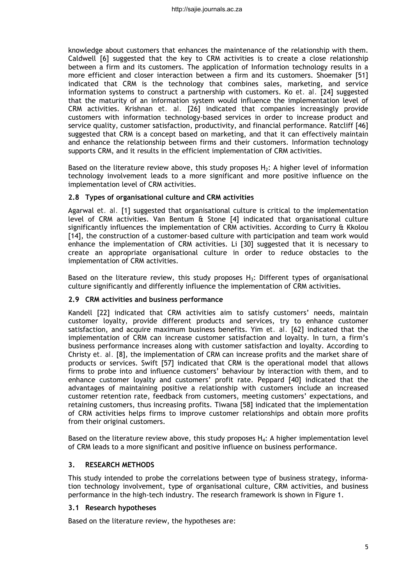knowledge about customers that enhances the maintenance of the relationship with them. Caldwell [6] suggested that the key to CRM activities is to create a close relationship between a firm and its customers. The application of Information technology results in a more efficient and closer interaction between a firm and its customers. Shoemaker [51] indicated that CRM is the technology that combines sales, marketing, and service information systems to construct a partnership with customers. Ko *et. al.* [24] suggested that the maturity of an information system would influence the implementation level of CRM activities. Krishnan *et. al.* [26] indicated that companies increasingly provide customers with information technology-based services in order to increase product and service quality, customer satisfaction, productivity, and financial performance. Ratcliff [46] suggested that CRM is a concept based on marketing, and that it can effectively maintain and enhance the relationship between firms and their customers. Information technology supports CRM, and it results in the efficient implementation of CRM activities.

Based on the literature review above, this study proposes  $H_2$ : A higher level of information technology involvement leads to a more significant and more positive influence on the implementation level of CRM activities.

# **2.8 Types of organisational culture and CRM activities**

Agarwal *et. al.* [1] suggested that organisational culture is critical to the implementation level of CRM activities. Van Bentum & Stone [4] indicated that organisational culture significantly influences the implementation of CRM activities. According to Curry & Kkolou [14], the construction of a customer-based culture with participation and team work would enhance the implementation of CRM activities. Li [30] suggested that it is necessary to create an appropriate organisational culture in order to reduce obstacles to the implementation of CRM activities.

Based on the literature review, this study proposes  $H_3$ : Different types of organisational culture significantly and differently influence the implementation of CRM activities.

### **2.9 CRM activities and business performance**

Kandell [22] indicated that CRM activities aim to satisfy customers' needs, maintain customer loyalty, provide different products and services, try to enhance customer satisfaction, and acquire maximum business benefits. Yim *et. al.* [62] indicated that the implementation of CRM can increase customer satisfaction and loyalty. In turn, a firm's business performance increases along with customer satisfaction and loyalty. According to Christy *et. al.* [8], the implementation of CRM can increase profits and the market share of products or services. Swift [57] indicated that CRM is the operational model that allows firms to probe into and influence customers' behaviour by interaction with them, and to enhance customer loyalty and customers' profit rate. Peppard [40] indicated that the advantages of maintaining positive a relationship with customers include an increased customer retention rate, feedback from customers, meeting customers' expectations, and retaining customers, thus increasing profits. Tiwana [58] indicated that the implementation of CRM activities helps firms to improve customer relationships and obtain more profits from their original customers.

Based on the literature review above, this study proposes  $H_4$ : A higher implementation level of CRM leads to a more significant and positive influence on business performance.

# **3. RESEARCH METHODS**

This study intended to probe the correlations between type of business strategy, information technology involvement, type of organisational culture, CRM activities, and business performance in the high-tech industry. The research framework is shown in Figure 1.

### **3.1 Research hypotheses**

Based on the literature review, the hypotheses are: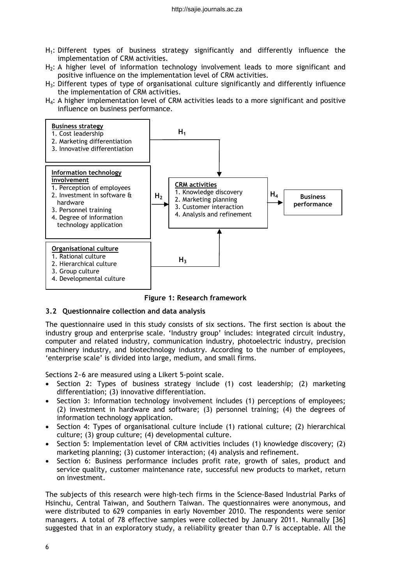- $H_1$ : Different types of business strategy significantly and differently influence the implementation of CRM activities.
- $H<sub>2</sub>$ : A higher level of information technology involvement leads to more significant and positive influence on the implementation level of CRM activities.
- $H_3$ : Different types of type of organisational culture significantly and differently influence the implementation of CRM activities.
- $H_4$ : A higher implementation level of CRM activities leads to a more significant and positive influence on business performance.



**Figure 1: Research framework**

# **3.2 Questionnaire collection and data analysis**

The questionnaire used in this study consists of six sections. The first section is about the industry group and enterprise scale. 'Industry group' includes: integrated circuit industry, computer and related industry, communication industry, photoelectric industry, precision machinery industry, and biotechnology industry. According to the number of employees, 'enterprise scale' is divided into large, medium, and small firms.

Sections 2~6 are measured using a Likert 5-point scale.

- Section 2: Types of business strategy include  $(1)$  cost leadership;  $(2)$  marketing differentiation; (3) innovative differentiation.
- Section 3: Information technology involvement includes (1) perceptions of employees; (2) investment in hardware and software; (3) personnel training; (4) the degrees of information technology application.
- Section 4: Types of organisational culture include (1) rational culture; (2) hierarchical culture; (3) group culture; (4) developmental culture.
- Section 5: Implementation level of CRM activities includes (1) knowledge discovery; (2) marketing planning; (3) customer interaction; (4) analysis and refinement.
- Section 6: Business performance includes profit rate, growth of sales, product and service quality, customer maintenance rate, successful new products to market, return on investment.

The subjects of this research were high-tech firms in the Science-Based Industrial Parks of Hsinchu, Central Taiwan, and Southern Taiwan. The questionnaires were anonymous, and were distributed to 629 companies in early November 2010. The respondents were senior managers. A total of 78 effective samples were collected by January 2011. Nunnally [36] suggested that in an exploratory study, a reliability greater than 0.7 is acceptable. All the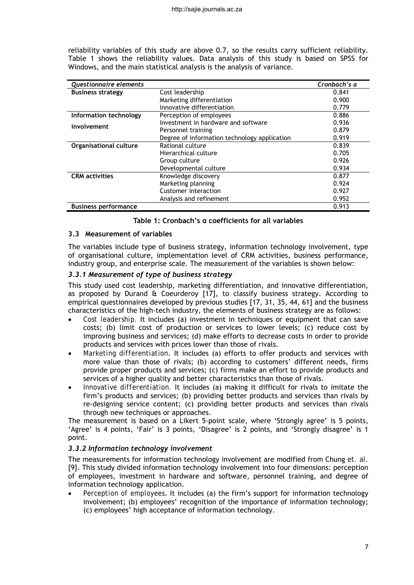reliability variables of this study are above 0.7, so the results carry sufficient reliability. Table 1 shows the reliability values. Data analysis of this study is based on SPSS for Windows, and the main statistical analysis is the analysis of variance.

| Questionnaire elements      |                                              | Cronbach's a |
|-----------------------------|----------------------------------------------|--------------|
| <b>Business strategy</b>    | Cost leadership                              | 0.841        |
|                             | Marketing differentiation                    | 0.900        |
|                             | Innovative differentiation                   | 0.779        |
| Information technology      | Perception of employees                      | 0.886        |
| involvement                 | Investment in hardware and software          | 0.936        |
|                             | Personnel training                           | 0.879        |
|                             | Degree of information technology application | 0.919        |
| Organisational culture      | Rational culture                             | 0.839        |
|                             | Hierarchical culture                         | 0.705        |
|                             | Group culture                                | 0.926        |
|                             | Developmental culture                        | 0.934        |
| <b>CRM</b> activities       | Knowledge discovery                          | 0.877        |
|                             | Marketing planning                           | 0.924        |
|                             | Customer interaction                         | 0.927        |
|                             | Analysis and refinement                      | 0.952        |
| <b>Business performance</b> |                                              | 0.913        |

### **Table 1: Cronbach's α coefficients for all variables**

## **3.3 Measurement of variables**

The variables include type of business strategy, information technology involvement, type of organisational culture, implementation level of CRM activities, business performance, industry group, and enterprise scale. The measurement of the variables is shown below:

## *3.3.1 Measurement of type of business strategy*

This study used cost leadership, marketing differentiation, and innovative differentiation, as proposed by Durand & Coeurderoy [17], to classify business strategy. According to empirical questionnaires developed by previous studies [17, 31, 35, 44, 61] and the business characteristics of the high-tech industry, the elements of business strategy are as follows:

- *Cost leadership.* It includes (a) investment in techniques or equipment that can save costs; (b) limit cost of production or services to lower levels; (c) reduce cost by improving business and services; (d) make efforts to decrease costs in order to provide products and services with prices lower than those of rivals.
- *Marketing differentiation*. It includes (a) efforts to offer products and services with more value than those of rivals; (b) according to customers' different needs, firms provide proper products and services; (c) firms make an effort to provide products and services of a higher quality and better characteristics than those of rivals.
- *Innovative differentiation.* It includes (a) making it difficult for rivals to imitate the firm's products and services; (b) providing better products and services than rivals by re-designing service content; (c) providing better products and services than rivals through new techniques or approaches.

The measurement is based on a Likert 5-point scale, where 'Strongly agree' is 5 points, 'Agree' is 4 points, 'Fair' is 3 points, 'Disagree' is 2 points, and 'Strongly disagree' is 1 point.

### *3.3.2 Information technology involvement*

The measurements for information technology involvement are modified from Chung *et. al.* [9]. This study divided information technology involvement into four dimensions: perception of employees, investment in hardware and software, personnel training, and degree of information technology application.

 *Perception of employees*. It includes (a) the firm's support for information technology involvement; (b) employees' recognition of the importance of information technology; (c) employees' high acceptance of information technology.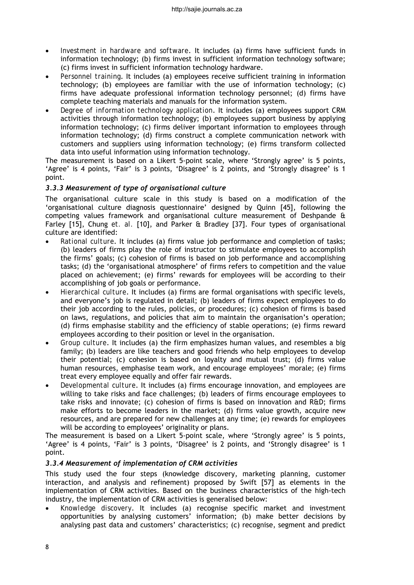- *Investment in hardware and software*. It includes (a) firms have sufficient funds in information technology; (b) firms invest in sufficient information technology software; (c) firms invest in sufficient information technology hardware.
- *Personnel training*. It includes (a) employees receive sufficient training in information technology; (b) employees are familiar with the use of information technology; (c) firms have adequate professional information technology personnel; (d) firms have complete teaching materials and manuals for the information system.
- *Degree of information technology application*. It includes (a) employees support CRM activities through information technology; (b) employees support business by applying information technology; (c) firms deliver important information to employees through information technology; (d) firms construct a complete communication network with customers and suppliers using information technology; (e) firms transform collected data into useful information using information technology.

The measurement is based on a Likert 5-point scale, where 'Strongly agree' is 5 points, 'Agree' is 4 points, 'Fair' is 3 points, 'Disagree' is 2 points, and 'Strongly disagree' is 1 point.

## *3.3.3 Measurement of type of organisational culture*

The organisational culture scale in this study is based on a modification of the 'organisational culture diagnosis questionnaire' designed by Quinn [45], following the competing values framework and organisational culture measurement of Deshpande & Farley [15], Chung *et. al.* [10], and Parker & Bradley [37]. Four types of organisational culture are identified:

- *Rational culture*. It includes (a) firms value job performance and completion of tasks; (b) leaders of firms play the role of instructor to stimulate employees to accomplish the firms' goals; (c) cohesion of firms is based on job performance and accomplishing tasks; (d) the 'organisational atmosphere' of firms refers to competition and the value placed on achievement; (e) firms' rewards for employees will be according to their accomplishing of job goals or performance.
- *Hierarchical culture*. It includes (a) firms are formal organisations with specific levels, and everyone's job is regulated in detail; (b) leaders of firms expect employees to do their job according to the rules, policies, or procedures; (c) cohesion of firms is based on laws, regulations, and policies that aim to maintain the organisation's operation; (d) firms emphasise stability and the efficiency of stable operations; (e) firms reward employees according to their position or level in the organisation.
- *Group culture*. It includes (a) the firm emphasizes human values, and resembles a big family; (b) leaders are like teachers and good friends who help employees to develop their potential; (c) cohesion is based on loyalty and mutual trust; (d) firms value human resources, emphasise team work, and encourage employees' morale; (e) firms treat every employee equally and offer fair rewards.
- *Developmental culture*. It includes (a) firms encourage innovation, and employees are willing to take risks and face challenges; (b) leaders of firms encourage employees to take risks and innovate; (c) cohesion of firms is based on innovation and R&D; firms make efforts to become leaders in the market; (d) firms value growth, acquire new resources, and are prepared for new challenges at any time; (e) rewards for employees will be according to employees' originality or plans.

The measurement is based on a Likert 5-point scale, where 'Strongly agree' is 5 points, 'Agree' is 4 points, 'Fair' is 3 points, 'Disagree' is 2 points, and 'Strongly disagree' is 1 point.

# *3.3.4 Measurement of implementation of CRM activities*

This study used the four steps (knowledge discovery, marketing planning, customer interaction, and analysis and refinement) proposed by Swift [57] as elements in the implementation of CRM activities. Based on the business characteristics of the high-tech industry, the implementation of CRM activities is generalised below:

 *Knowledge discovery*. It includes (a) recognise specific market and investment opportunities by analysing customers' information; (b) make better decisions by analysing past data and customers' characteristics; (c) recognise, segment and predict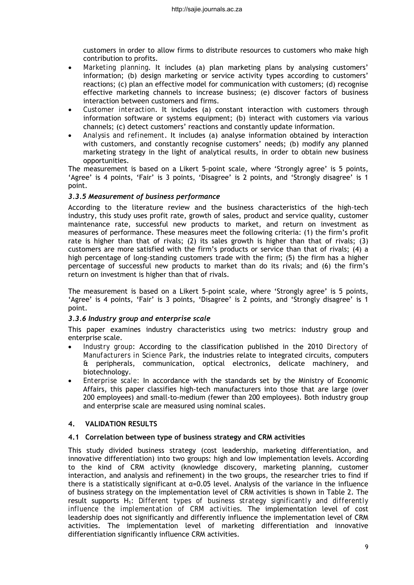customers in order to allow firms to distribute resources to customers who make high contribution to profits.

- *Marketing planning*. It includes (a) plan marketing plans by analysing customers' information; (b) design marketing or service activity types according to customers' reactions; (c) plan an effective model for communication with customers; (d) recognise effective marketing channels to increase business; (e) discover factors of business interaction between customers and firms.
- *Customer interaction*. It includes (a) constant interaction with customers through information software or systems equipment; (b) interact with customers via various channels; (c) detect customers' reactions and constantly update information.
- *Analysis and refinement*. It includes (a) analyse information obtained by interaction with customers, and constantly recognise customers' needs; (b) modify any planned marketing strategy in the light of analytical results, in order to obtain new business opportunities.

The measurement is based on a Likert 5-point scale, where 'Strongly agree' is 5 points, 'Agree' is 4 points, 'Fair' is 3 points, 'Disagree' is 2 points, and 'Strongly disagree' is 1 point.

## *3.3.5 Measurement of business performance*

According to the literature review and the business characteristics of the high-tech industry, this study uses profit rate, growth of sales, product and service quality, customer maintenance rate, successful new products to market, and return on investment as measures of performance. These measures meet the following criteria: (1) the firm's profit rate is higher than that of rivals; (2) its sales growth is higher than that of rivals; (3) customers are more satisfied with the firm's products or service than that of rivals; (4) a high percentage of long-standing customers trade with the firm; (5) the firm has a higher percentage of successful new products to market than do its rivals; and (6) the firm's return on investment is higher than that of rivals.

The measurement is based on a Likert 5-point scale, where 'Strongly agree' is 5 points, 'Agree' is 4 points, 'Fair' is 3 points, 'Disagree' is 2 points, and 'Strongly disagree' is 1 point.

# *3.3.6 Industry group and enterprise scale*

This paper examines industry characteristics using two metrics: industry group and enterprise scale.

- *Industry group*: According to the classification published in the 2010 *Directory of Manufacturers in Science Park*, the industries relate to integrated circuits, computers & peripherals, communication, optical electronics, delicate machinery, and biotechnology.
- *Enterprise scale*: In accordance with the standards set by the Ministry of Economic Affairs, this paper classifies high-tech manufacturers into those that are large (over 200 employees) and small-to-medium (fewer than 200 employees). Both industry group and enterprise scale are measured using nominal scales.

# **4. VALIDATION RESULTS**

### **4.1 Correlation between type of business strategy and CRM activities**

This study divided business strategy (cost leadership, marketing differentiation, and innovative differentiation) into two groups: high and low implementation levels. According to the kind of CRM activity (knowledge discovery, marketing planning, customer interaction, and analysis and refinement) in the two groups, the researcher tries to find if there is a statistically significant at  $\alpha$ =0.05 level. Analysis of the variance in the influence of business strategy on the implementation level of CRM activities is shown in Table 2. The result supports H<sub>1</sub>: *Different types of business strategy significantly and differently influence the implementation of CRM activities*. The implementation level of cost leadership does not significantly and differently influence the implementation level of CRM activities. The implementation level of marketing differentiation and innovative differentiation significantly influence CRM activities.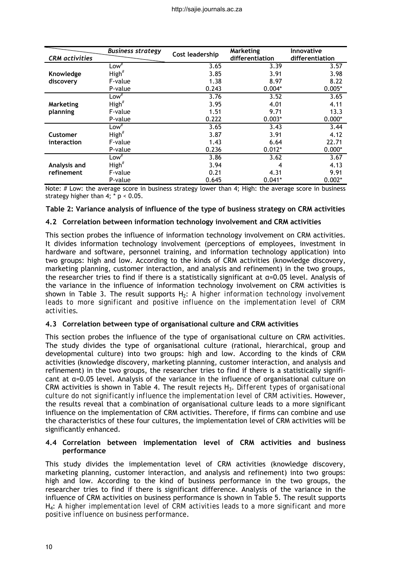|                       | <b>Business strategy</b> | Cost leadership | Marketing       | Innovative      |
|-----------------------|--------------------------|-----------------|-----------------|-----------------|
| <b>CRM</b> activities |                          |                 | differentiation | differentiation |
|                       | Low <sup>#</sup>         | 3.65            | 3.39            | 3.57            |
| Knowledge             | High''                   | 3.85            | 3.91            | 3.98            |
| discovery             | F-value                  | 1.38            | 8.97            | 8.22            |
|                       | P-value                  | 0.243           | $0.004*$        | $0.005*$        |
|                       | $Low^{\#}$               | 3.76            | 3.52            | 3.65            |
| Marketing             | High <sup>#</sup>        | 3.95            | 4.01            | 4.11            |
| planning              | F-value                  | 1.51            | 9.71            | 13.3            |
|                       | P-value                  | 0.222           | $0.003*$        | $0.000*$        |
|                       | $Low^{\#}$               | 3.65            | 3.43            | 3.44            |
| Customer              | High''                   | 3.87            | 3.91            | 4.12            |
| interaction           | F-value                  | 1.43            | 6.64            | 22.71           |
|                       | P-value                  | 0.236           | $0.012*$        | $0.000*$        |
|                       | Low $\overline{A}$       | 3.86            | 3.62            | 3.67            |
| Analysis and          | High <sup>#</sup>        | 3.94            | 4               | 4.13            |
| refinement            | F-value                  | 0.21            | 4.31            | 9.91            |
|                       | P-value                  | 0.645           | $0.041*$        | $0.002*$        |

Note: # Low: the average score in business strategy lower than 4; High: the average score in business strategy higher than  $4$ ;  $*$  p < 0.05.

### **Table 2: Variance analysis of influence of the type of business strategy on CRM activities**

### **4.2 Correlation between information technology involvement and CRM activities**

This section probes the influence of information technology involvement on CRM activities. It divides information technology involvement (perceptions of employees, investment in hardware and software, personnel training, and information technology application) into two groups: high and low. According to the kinds of CRM activities (knowledge discovery, marketing planning, customer interaction, and analysis and refinement) in the two groups, the researcher tries to find if there is a statistically significant at  $\alpha$ =0.05 level. Analysis of the variance in the influence of information technology involvement on CRM activities is shown in Table 3. The result supports H<sub>2</sub>: *A higher information technology involvement leads to more significant and positive influence on the implementation level of CRM activities*.

### **4.3 Correlation between type of organisational culture and CRM activities**

This section probes the influence of the type of organisational culture on CRM activities. The study divides the type of organisational culture (rational, hierarchical, group and developmental culture) into two groups: high and low. According to the kinds of CRM activities (knowledge discovery, marketing planning, customer interaction, and analysis and refinement) in the two groups, the researcher tries to find if there is a statistically significant at α=0.05 level. Analysis of the variance in the influence of organisational culture on CRM activities is shown in Table 4. The result rejects H3. *Different types of organisational culture do not significantly influence the implementation level of CRM activities*. However, the results reveal that a combination of organisational culture leads to a more significant influence on the implementation of CRM activities. Therefore, if firms can combine and use the characteristics of these four cultures, the implementation level of CRM activities will be significantly enhanced.

### **4.4 Correlation between implementation level of CRM activities and business performance**

This study divides the implementation level of CRM activities (knowledge discovery, marketing planning, customer interaction, and analysis and refinement) into two groups: high and low. According to the kind of business performance in the two groups, the researcher tries to find if there is significant difference. Analysis of the variance in the influence of CRM activities on business performance is shown in Table 5. The result supports H4: *A higher implementation level of CRM activities leads to a more significant and more positive influence on business performance*.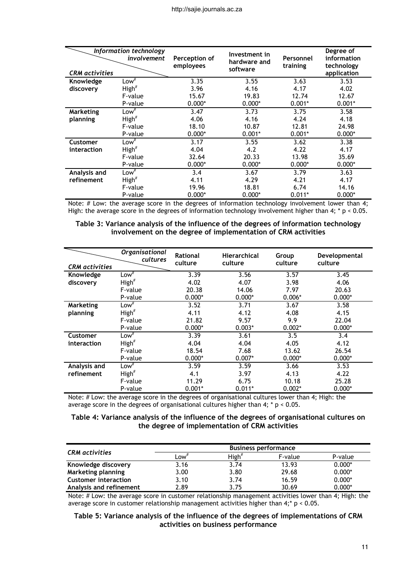|                       | Information technology<br>involvement | Perception of<br>employees | Investment in<br>hardware and<br>software | Personnel<br>training | Degree of<br>information<br>technology |
|-----------------------|---------------------------------------|----------------------------|-------------------------------------------|-----------------------|----------------------------------------|
| <b>CRM</b> activities |                                       |                            |                                           |                       | application                            |
| Knowledge             | Low <sup>#</sup>                      | 3.35                       | 3.55                                      | 3.63                  | 3.53                                   |
| discovery             | High <sup>#</sup>                     | 3.96                       | 4.16                                      | 4.17                  | 4.02                                   |
|                       | F-value                               | 15.67                      | 19.83                                     | 12.74                 | 12.67                                  |
|                       | P-value                               | $0.000*$                   | $0.000*$                                  | $0.001*$              | $0.001*$                               |
| Marketing             | $Low^{\#}$                            | 3.47                       | 3.73                                      | 3.75                  | 3.58                                   |
| planning              | High''                                | 4.06                       | 4.16                                      | 4.24                  | 4.18                                   |
|                       | F-value                               | 18.10                      | 10.87                                     | 12.81                 | 24.98                                  |
|                       | P-value                               | $0.000*$                   | $0.001*$                                  | $0.001*$              | $0.000*$                               |
| Customer              | $Low^{\#}$                            | 3.17                       | 3.55                                      | 3.62                  | 3.38                                   |
| interaction           | High <sup>#</sup>                     | 4.04                       | 4.2                                       | 4.22                  | 4.17                                   |
|                       | F-value                               | 32.64                      | 20.33                                     | 13.98                 | 35.69                                  |
|                       | P-value                               | $0.000*$                   | $0.000*$                                  | $0.000*$              | $0.000*$                               |
| Analysis and          | $Low^{\#}$                            | 3.4                        | 3.67                                      | 3.79                  | 3.63                                   |
| refinement            | High''                                | 4.11                       | 4.29                                      | 4.21                  | 4.17                                   |
|                       | F-value                               | 19.96                      | 18.81                                     | 6.74                  | 14.16                                  |
|                       | P-value                               | $0.000*$                   | $0.000*$                                  | $0.011*$              | $0.000*$                               |

Note: # Low: the average score in the degrees of information technology involvement lower than 4; High: the average score in the degrees of information technology involvement higher than 4;  $* p < 0.05$ .

**Table 3: Variance analysis of the influence of the degrees of information technology involvement on the degree of implementation of CRM activities** 

| <b>CRM</b> activities | <b>Organisational</b><br>cultures | Rational<br>culture | <b>Hierarchical</b><br>culture | Group<br>culture | Developmental<br>culture |
|-----------------------|-----------------------------------|---------------------|--------------------------------|------------------|--------------------------|
| Knowledge             | Low <sup>#</sup>                  | 3.39                | 3.56                           | 3.57             | 3.45                     |
| discovery             | High <sup>#</sup>                 | 4.02                | 4.07                           | 3.98             | 4.06                     |
|                       | F-value                           | 20.38               | 14.06                          | 7.97             | 20.63                    |
|                       | P-value                           | $0.000*$            | $0.000*$                       | $0.006*$         | $0.000*$                 |
| Marketing             | Low <sup>#</sup>                  | 3.52                | 3.71                           | 3.67             | 3.58                     |
| planning              | High <sup>#</sup>                 | 4.11                | 4.12                           | 4.08             | 4.15                     |
|                       | F-value                           | 21.82               | 9.57                           | 9.9              | 22.04                    |
|                       | P-value                           | $0.000*$            | $0.003*$                       | $0.002*$         | $0.000*$                 |
| Customer              | Low <sup>#</sup>                  | 3.39                | 3.61                           | 3.5              | 3.4                      |
| interaction           | High <sup>#</sup>                 | 4.04                | 4.04                           | 4.05             | 4.12                     |
|                       | F-value                           | 18.54               | 7.68                           | 13.62            | 26.54                    |
|                       | P-value                           | $0.000*$            | $0.007*$                       | $0.000*$         | $0.000*$                 |
| Analysis and          | Low <sup>#</sup>                  | 3.59                | 3.59                           | 3.66             | 3.53                     |
| refinement            | High <sup>#</sup>                 | 4.1                 | 3.97                           | 4.13             | 4.22                     |
|                       | F-value                           | 11.29               | 6.75                           | 10.18            | 25.28                    |
|                       | P-value                           | $0.001*$            | $0.011*$                       | $0.002*$         | $0.000*$                 |

Note: # Low: the average score in the degrees of organisational cultures lower than 4; High: the average score in the degrees of organisational cultures higher than  $4$ ;  $*$  p < 0.05.

### **Table 4: Variance analysis of the influence of the degrees of organisational cultures on the degree of implementation of CRM activities**

| <b>CRM</b> activities       | <b>Business performance</b> |                   |         |          |
|-----------------------------|-----------------------------|-------------------|---------|----------|
|                             | $LOW$ <sup>#</sup>          | High <sup>#</sup> | F-value | P-value  |
| Knowledge discovery         | 3.16                        | 3.74              | 13.93   | $0.000*$ |
| Marketing planning          | 3.00                        | 3.80              | 29.68   | $0.000*$ |
| <b>Customer interaction</b> | 3.10                        | 3.74              | 16.59   | $0.000*$ |
| Analysis and refinement     | 2.89                        | 3.75              | 30.69   | $0.000*$ |

Note: # Low: the average score in customer relationship management activities lower than 4; High: the average score in customer relationship management activities higher than  $4$ ;\*  $p < 0.05$ .

#### **Table 5: Variance analysis of the influence of the degrees of implementations of CRM activities on business performance**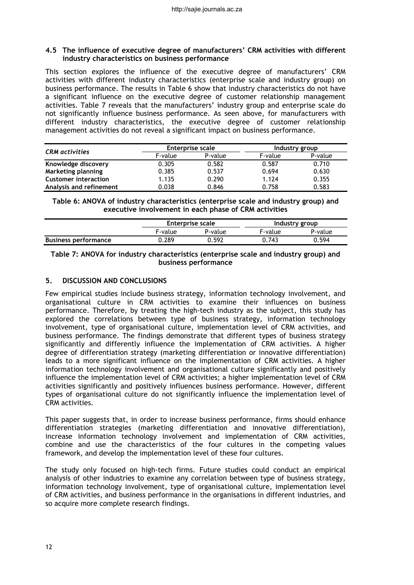#### **4.5 The influence of executive degree of manufacturers' CRM activities with different industry characteristics on business performance**

This section explores the influence of the executive degree of manufacturers' CRM activities with different industry characteristics (enterprise scale and industry group) on business performance. The results in Table 6 show that industry characteristics do not have a significant influence on the executive degree of customer relationship management activities. Table 7 reveals that the manufacturers' industry group and enterprise scale do not significantly influence business performance. As seen above, for manufacturers with different industry characteristics, the executive degree of customer relationship management activities do not reveal a significant impact on business performance.

| <b>CRM</b> activities       | <b>Enterprise scale</b> |         | Industry group |         |
|-----------------------------|-------------------------|---------|----------------|---------|
|                             | F-value                 | P-value | F-value        | P-value |
| Knowledge discovery         | 0.305                   | 0.582   | 0.587          | 0.710   |
| Marketing planning          | 0.385                   | 0.537   | 0.694          | 0.630   |
| <b>Customer interaction</b> | 1.135                   | 0.290   | 1.124          | 0.355   |
| Analysis and refinement     | 0.038                   | 0.846   | 0.758          | 0.583   |

**Table 6: ANOVA of industry characteristics (enterprise scale and industry group) and executive involvement in each phase of CRM activities** 

|                             | Enterprise scale |         | Industry group |         |
|-----------------------------|------------------|---------|----------------|---------|
|                             | F-value          | P-value | F-value        | P-value |
| <b>Business performance</b> | 0.289            | 0.592   | 0.743          | 0.594   |

### **Table 7: ANOVA for industry characteristics (enterprise scale and industry group) and business performance**

# **5. DISCUSSION AND CONCLUSIONS**

Few empirical studies include business strategy, information technology involvement, and organisational culture in CRM activities to examine their influences on business performance. Therefore, by treating the high-tech industry as the subject, this study has explored the correlations between type of business strategy, information technology involvement, type of organisational culture, implementation level of CRM activities, and business performance. The findings demonstrate that different types of business strategy significantly and differently influence the implementation of CRM activities. A higher degree of differentiation strategy (marketing differentiation or innovative differentiation) leads to a more significant influence on the implementation of CRM activities. A higher information technology involvement and organisational culture significantly and positively influence the implementation level of CRM activities; a higher implementation level of CRM activities significantly and positively influences business performance. However, different types of organisational culture do not significantly influence the implementation level of CRM activities.

This paper suggests that, in order to increase business performance, firms should enhance differentiation strategies (marketing differentiation and innovative differentiation), increase information technology involvement and implementation of CRM activities, combine and use the characteristics of the four cultures in the competing values framework, and develop the implementation level of these four cultures.

The study only focused on high-tech firms. Future studies could conduct an empirical analysis of other industries to examine any correlation between type of business strategy, information technology involvement, type of organisational culture, implementation level of CRM activities, and business performance in the organisations in different industries, and so acquire more complete research findings.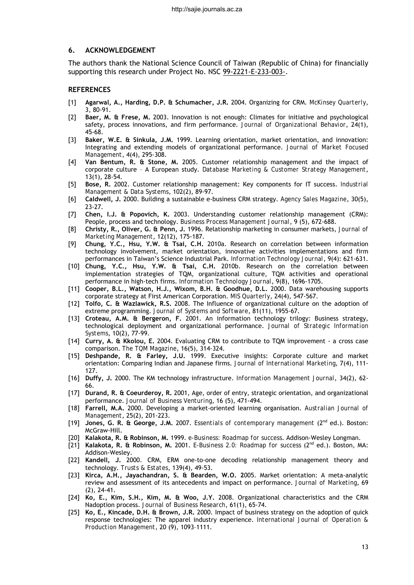### **6. ACKNOWLEDGEMENT**

The authors thank the National Science Council of Taiwan (Republic of China) for financially supporting this research under Project No. NSC 99-2221-E-233-003-.

### **REFERENCES**

- [1] **Agarwal, A., Harding, D.P. & Schumacher, J.R.** 2004. Organizing for CRM. *McKinsey Quarterly*, 3, 80-91.
- [2] **Baer, M. & Frese, M.** 2003. Innovation is not enough: Climates for initiative and psychological safety, process innovations, and firm performance. *Journal of Organizational Behavior*, 24(1), 45-68.
- [3] **Baker, W.E. & Sinkula, J.M.** 1999. Learning orientation, market orientation, and innovation: Integrating and extending models of organizational performance. *Journal of Market Focused Management*, 4(4), 295-308.
- [4] **Van Bentum, R. & Stone, M.** 2005. Customer relationship management and the impact of corporate culture – A European study. *Database Marketing & Customer Strategy Management*, 13(1), 28-54.
- [5] **Bose, R.** 2002. Customer relationship management: Key components for IT success. *Industrial Management & Data Systems*, 102(2), 89-97.
- [6] **Caldwell, J.** 2000. Building a sustainable e-business CRM strategy. *Agency Sales Magazine*, 30(5), 23-27.
- [7] **Chen, I.J. & Popovich, K.** 2003. Understanding customer relationship management (CRM): People, process and technology. *Business Process Management Journal*, 9 (5), 672-688.
- [8] **Christy, R., Oliver, G. & Penn, J.** 1996. Relationship marketing in consumer markets, *Journal of Marketing Management*, 12(12), 175-187.
- [9] **Chung, Y.C., Hsu, Y.W. & Tsai, C.H.** 2010a. Research on correlation between information technology involvement, market orientation, innovative activities implementations and firm performances in Taiwan's Science Industrial Park. *Information Technology Journal*, 9(4): 621-631.
- [10] **Chung, Y.C., Hsu, Y.W. & Tsai, C.H.** 2010b. Research on the correlation between implementation strategies of TQM, organizational culture, TQM activities and operational performance in high-tech firms. *Information Technology Journal*, 9(8), 1696-1705.
- [11] **Cooper, B.L., Watson, H.J., Wixom, B.H. & Goodhue, D.L.** 2000. Data warehousing supports corporate strategy at First American Corporation. *MIS Quarterly*, 24(4), 547-567.
- [12] **Tolfo, C. & Wazlawick, R.S.** 2008. The Influence of organizational culture on the adoption of extreme programming. *Journal of Systems and Software*, 81(11), 1955-67.
- [13] **Croteau, A.M. & Bergeron, F.** 2001. An information technology trilogy: Business strategy, technological deployment and organizational performance. *Journal of Strategic Information Systems*, 10(2), 77-99.
- [14] **Curry, A. & Kkolou, E.** 2004. Evaluating CRM to contribute to TQM improvement a cross case comparison. *The TQM Magazine*, 16(5), 314-324.
- [15] **Deshpande, R. & Farley, J.U.** 1999. Executive insights: Corporate culture and market orientation: Comparing Indian and Japanese firms. *Journal of International Marketing*, 7(4), 111- 127.
- [16] **Duffy, J.** 2000. The KM technology infrastructure. *Information Management Journal*, 34(2), 62- 66.
- [17] **Durand, R. & Coeurderoy, R.** 2001, Age, order of entry, strategic orientation, and organizational performance. *Journal of Business Venturing*, 16 (5), 471-494.
- [18] **Farrell, M.A.** 2000. Developing a market-oriented learning organisation. *Australian Journal of Management*, 25(2), 201-223.
- [19] **Jones, G. R. & George, J.M.** 2007. *Essentials of contemporary management* (2nd ed.). Boston: McGraw-Hill.
- [20] **Kalakota, R. & Robinson, M.** 1999. *e-Business: Roadmap for success*. Addison-Wesley Longman.
- [21] **Kalakota, R. & Robinson, M.** 2001. *E-Business 2.0: Roadmap for success* (2nd ed.). Boston, MA: Addison-Wesley.
- [22] **Kandell, J.** 2000. CRM, ERM one-to-one decoding relationship management theory and technology. *Trusts & Estates*, 139(4), 49-53.
- [23] **Kirca, A.H., Jayachandran, S. & Bearden, W.O. 2**005. Market orientation: A meta-analytic review and assessment of its antecedents and impact on performance. *Journal of Marketing*, 69 (2), 24-41.
- [24] **Ko, E., Kim, S.H., Kim, M. & Woo, J.Y.** 2008. Organizational characteristics and the CRM Nadoption process. *Journal of Business Research*, 61(1), 65-74.
- [25] **Ko, E., Kincade, D.H. & Brown, J.R.** 2000. Impact of business strategy on the adoption of quick response technologies: The apparel industry experience. *International Journal of Operation & Production Management*, 20 (9), 1093–1111.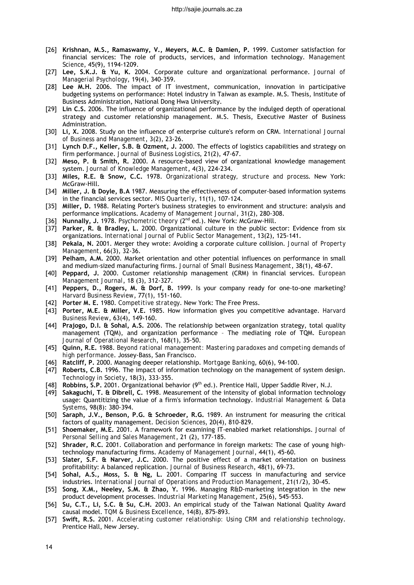- [26] **Krishnan, M.S., Ramaswamy, V., Meyers, M.C. & Damien, P.** 1999. Customer satisfaction for financial services: The role of products, services, and information technology. *Management Science*, 45(9), 1194-1209.
- [27] **Lee, S.K.J. & Yu, K.** 2004. Corporate culture and organizational performance. *Journal of Managerial Psychology*, 19(4), 340-359.
- [28] **Lee M.H.** 2006. The impact of IT investment, communication, innovation in participative budgeting systems on performance: Hotel industry in Taiwan as example. M.S. Thesis, Institute of Business Administration, National Dong Hwa University.
- [29] **Lin C.S.** 2006. The influence of organizational performance by the indulged depth of operational strategy and customer relationship management. M.S. Thesis, Executive Master of Business Administration.
- [30] **Li, X.** 2008. Study on the influence of enterprise culture's reform on CRM. *International Journal of Business and Management*, 3(2), 23-26.
- [31] **Lynch D.F., Keller, S.B. & Ozment, J.** 2000. The effects of logistics capabilities and strategy on firm performance. *Journal of Business Logistics*, 21(2), 47-67.
- [32] **Meso, P. & Smith, R.** 2000. A resource-based view of organizational knowledge management system. *Journal of Knowledge Management*, 4(3), 224-234.
- [33] **Miles, R.E. & Snow, C.C.** 1978. *Organizational strategy, structure and process*. New York: McGraw-Hill.
- [34] **Miller, J. & Doyle, B.A** 1987. Measuring the effectiveness of computer-based information systems in the financial services sector. *MIS Quarterly*, 11(1), 107-124.
- [35] **Miller, D.** 1988. Relating Porter's business strategies to environment and structure: analysis and performance implications. *Academy of Management Journal*, 31(2), 280-308.
- [36] **Nunnally, J.** 1978. *Psychometric theory* (2nd ed.). New York: McGraw-Hill.
- [37] **Parker, R. & Bradley, L.** 2000. Organizational culture in the public sector: Evidence from six organizations. *International Journal of Public Sector Management*, 13(2), 125-141.
- [38] **Pekala, N.** 2001. Merger they wrote: Avoiding a corporate culture collision. *Journal of Property Management*, 66(3), 32-36.
- [39] **Pelham, A.M.** 2000. Market orientation and other potential influences on performance in small and medium-sized manufacturing firms. *Journal of Small Business Management*, 38(1), 48-67.
- [40] **Peppard, J.** 2000. Customer relationship management (CRM) in financial services. *European Management Journal*, 18 (3), 312-327.
- [41] **Peppers, D., Rogers, M. & Dorf, B.** 1999. Is your company ready for one-to-one marketing? *Harvard Business Review*, 77(1), 151-160.
- [42] **Porter M. E.** 1980. *Competitive strategy*. New York: The Free Press.
- [43] **Porter, M.E. & Miller, V.E.** 1985. How information gives you competitive advantage. *Harvard Business Review*, 63(4), 149-160.
- [44] **Prajogo, D.I. & Sohal, A.S.** 2006. The relationship between organization strategy, total quality management (TQM), and organization performance – The mediating role of TQM. *European Journal of Operational Research*, 168(1), 35-50.
- [45] **Quinn, R.E.** 1988. *Beyond rational management: Mastering paradoxes and competing demands of high performance*. Jossey-Bass, San Francisco.
- [46] **Ratcliff, P.** 2000. Managing deeper relationship. *Mortgage Banking*, 60(6), 94-100.
- [47] **Roberts, C.B.** 1996. The impact of information technology on the management of system design. *Technology in Society*, 18(3), 333-355.
- [48] **Robbins, S.P.** 2001. Organizational behavior (9th ed.). Prentice Hall, Upper Saddle River, N.J.
- [49] **Sakaguchi, T. & Dibrell, C.** 1998. Measurement of the intensity of global information technology usage: Quantitizing the value of a firm's information technology. *Industrial Management & Data Systems*, 98(8): 380-394.
- [50] **Saraph, J.V., Benson, P.G. & Schroeder, R.G.** 1989. An instrument for measuring the critical factors of quality management. *Decision Sciences*, 20(4), 810-829.
- [51] **Shoemaker, M.E.** 2001. A framework for examining IT-enabled market relationships. *Journal of Personal Selling and Sales Management*, 21 (2), 177-185.
- [52] **Shrader, R.C.** 2001. Collaboration and performance in foreign markets: The case of young hightechnology manufacturing firms. *Academy of Management Journal*, 44(1), 45-60.
- [53] **Slater, S.F. & Narver, J.C.** 2000. The positive effect of a market orientation on business profitability: A balanced replication. *Journal of Business Research*, 48(1), 69-73.
- [54] **Sohal, A.S., Moss, S. & Ng, L.** 2001. Comparing IT success in manufacturing and service industries. *International Journal of Operations and Production Management*, 21(1/2), 30-45.
- [55] **Song, X.M., Neeley, S.M. & Zhao, Y.** 1996. Managing R&D-marketing integration in the new product development processes. *Industrial Marketing Management*, 25(6), 545-553.
- [56] **Su, C.T., Li, S.C. & Su, C.H.** 2003. An empirical study of the Taiwan National Quality Award causal model. *TQM & Business Excellence*, 14(8), 875-893.
- [57] **Swift, R.S.** 2001. *Accelerating customer relationship: Using CRM and relationship technology*. Prentice Hall, New Jersey.